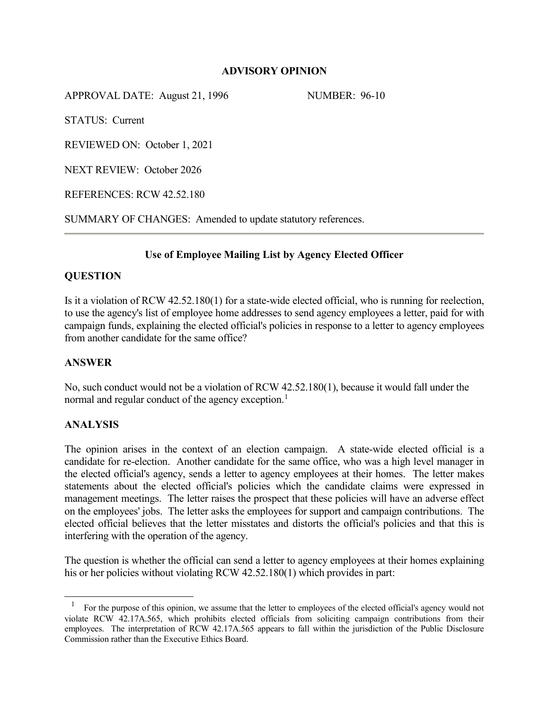## **ADVISORY OPINION**

APPROVAL DATE: August 21, 1996 NUMBER: 96-10

STATUS: Current

REVIEWED ON: October 1, 2021

NEXT REVIEW: October 2026

REFERENCES: RCW 42.52.180

SUMMARY OF CHANGES: Amended to update statutory references.

# **Use of Employee Mailing List by Agency Elected Officer**

## **QUESTION**

Is it a violation of RCW 42.52.180(1) for a state-wide elected official, who is running for reelection, to use the agency's list of employee home addresses to send agency employees a letter, paid for with campaign funds, explaining the elected official's policies in response to a letter to agency employees from another candidate for the same office?

### **ANSWER**

No, such conduct would not be a violation of RCW 42.52.180(1), because it would fall under the normal and regular conduct of the agency exception. $<sup>1</sup>$  $<sup>1</sup>$  $<sup>1</sup>$ </sup>

### **ANALYSIS**

 $\ddot{\phantom{a}}$ 

The opinion arises in the context of an election campaign. A state-wide elected official is a candidate for re-election. Another candidate for the same office, who was a high level manager in the elected official's agency, sends a letter to agency employees at their homes. The letter makes statements about the elected official's policies which the candidate claims were expressed in management meetings. The letter raises the prospect that these policies will have an adverse effect on the employees' jobs. The letter asks the employees for support and campaign contributions. The elected official believes that the letter misstates and distorts the official's policies and that this is interfering with the operation of the agency.

The question is whether the official can send a letter to agency employees at their homes explaining his or her policies without violating RCW 42.52.180(1) which provides in part:

<span id="page-0-0"></span><sup>1</sup> For the purpose of this opinion, we assume that the letter to employees of the elected official's agency would not violate RCW 42.17A.565, which prohibits elected officials from soliciting campaign contributions from their employees. The interpretation of RCW 42.17A.565 appears to fall within the jurisdiction of the Public Disclosure Commission rather than the Executive Ethics Board.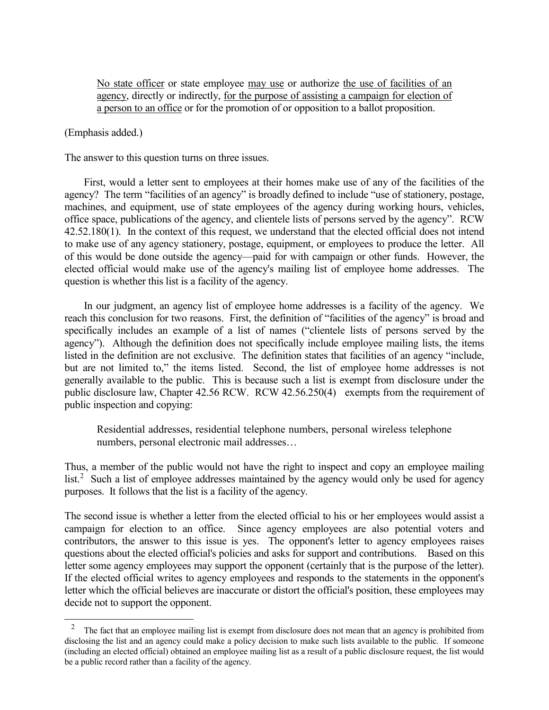No state officer or state employee may use or authorize the use of facilities of an agency, directly or indirectly, for the purpose of assisting a campaign for election of a person to an office or for the promotion of or opposition to a ballot proposition.

(Emphasis added.)

 $\overline{a}$ 

The answer to this question turns on three issues.

First, would a letter sent to employees at their homes make use of any of the facilities of the agency? The term "facilities of an agency" is broadly defined to include "use of stationery, postage, machines, and equipment, use of state employees of the agency during working hours, vehicles, office space, publications of the agency, and clientele lists of persons served by the agency". RCW 42.52.180(1). In the context of this request, we understand that the elected official does not intend to make use of any agency stationery, postage, equipment, or employees to produce the letter. All of this would be done outside the agency—paid for with campaign or other funds. However, the elected official would make use of the agency's mailing list of employee home addresses. The question is whether this list is a facility of the agency.

In our judgment, an agency list of employee home addresses is a facility of the agency. We reach this conclusion for two reasons. First, the definition of "facilities of the agency" is broad and specifically includes an example of a list of names ("clientele lists of persons served by the agency"). Although the definition does not specifically include employee mailing lists, the items listed in the definition are not exclusive. The definition states that facilities of an agency "include, but are not limited to," the items listed. Second, the list of employee home addresses is not generally available to the public. This is because such a list is exempt from disclosure under the public disclosure law, Chapter 42.56 RCW. RCW 42.56.250(4) exempts from the requirement of public inspection and copying:

Residential addresses, residential telephone numbers, personal wireless telephone numbers, personal electronic mail addresses…

Thus, a member of the public would not have the right to inspect and copy an employee mailing  $list.<sup>2</sup>$  $list.<sup>2</sup>$  $list.<sup>2</sup>$  Such a list of employee addresses maintained by the agency would only be used for agency purposes. It follows that the list is a facility of the agency.

The second issue is whether a letter from the elected official to his or her employees would assist a campaign for election to an office. Since agency employees are also potential voters and contributors, the answer to this issue is yes. The opponent's letter to agency employees raises questions about the elected official's policies and asks for support and contributions. Based on this letter some agency employees may support the opponent (certainly that is the purpose of the letter). If the elected official writes to agency employees and responds to the statements in the opponent's letter which the official believes are inaccurate or distort the official's position, these employees may decide not to support the opponent.

<span id="page-1-0"></span><sup>&</sup>lt;sup>2</sup> The fact that an employee mailing list is exempt from disclosure does not mean that an agency is prohibited from disclosing the list and an agency could make a policy decision to make such lists available to the public. If someone (including an elected official) obtained an employee mailing list as a result of a public disclosure request, the list would be a public record rather than a facility of the agency.